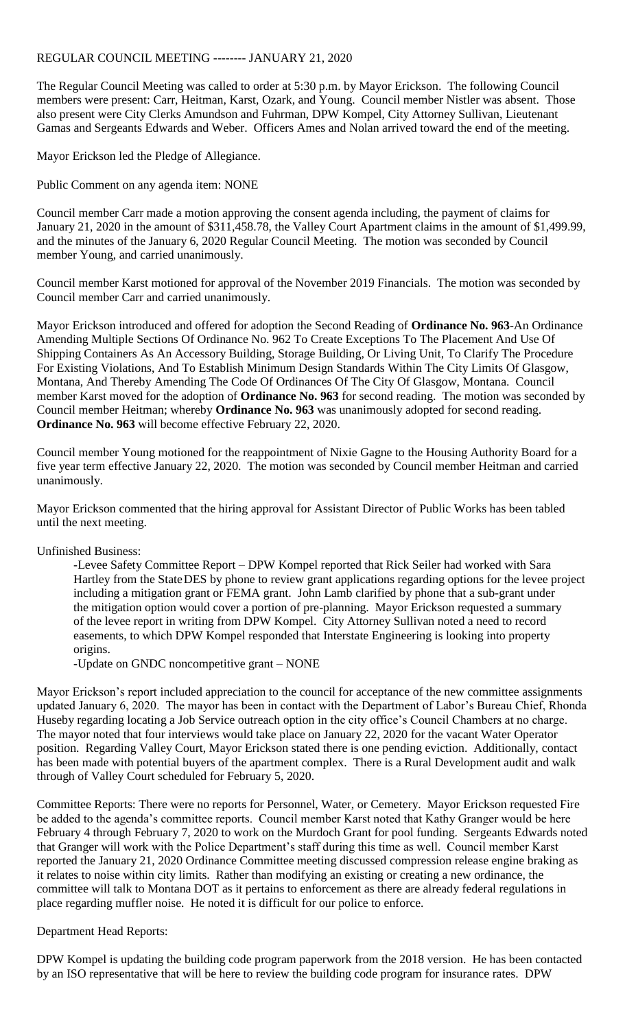## REGULAR COUNCIL MEETING -------- JANUARY 21, 2020

The Regular Council Meeting was called to order at 5:30 p.m. by Mayor Erickson. The following Council members were present: Carr, Heitman, Karst, Ozark, and Young. Council member Nistler was absent. Those also present were City Clerks Amundson and Fuhrman, DPW Kompel, City Attorney Sullivan, Lieutenant Gamas and Sergeants Edwards and Weber. Officers Ames and Nolan arrived toward the end of the meeting.

Mayor Erickson led the Pledge of Allegiance.

Public Comment on any agenda item: NONE

Council member Carr made a motion approving the consent agenda including, the payment of claims for January 21, 2020 in the amount of \$311,458.78, the Valley Court Apartment claims in the amount of \$1,499.99, and the minutes of the January 6, 2020 Regular Council Meeting. The motion was seconded by Council member Young, and carried unanimously.

Council member Karst motioned for approval of the November 2019 Financials. The motion was seconded by Council member Carr and carried unanimously.

Mayor Erickson introduced and offered for adoption the Second Reading of **Ordinance No. 963**-An Ordinance Amending Multiple Sections Of Ordinance No. 962 To Create Exceptions To The Placement And Use Of Shipping Containers As An Accessory Building, Storage Building, Or Living Unit, To Clarify The Procedure For Existing Violations, And To Establish Minimum Design Standards Within The City Limits Of Glasgow, Montana, And Thereby Amending The Code Of Ordinances Of The City Of Glasgow, Montana. Council member Karst moved for the adoption of **Ordinance No. 963** for second reading. The motion was seconded by Council member Heitman; whereby **Ordinance No. 963** was unanimously adopted for second reading. **Ordinance No. 963** will become effective February 22, 2020.

Council member Young motioned for the reappointment of Nixie Gagne to the Housing Authority Board for a five year term effective January 22, 2020. The motion was seconded by Council member Heitman and carried unanimously.

Mayor Erickson commented that the hiring approval for Assistant Director of Public Works has been tabled until the next meeting.

Unfinished Business:

-Levee Safety Committee Report – DPW Kompel reported that Rick Seiler had worked with Sara Hartley from the StateDES by phone to review grant applications regarding options for the levee project including a mitigation grant or FEMA grant. John Lamb clarified by phone that a sub-grant under the mitigation option would cover a portion of pre-planning. Mayor Erickson requested a summary of the levee report in writing from DPW Kompel. City Attorney Sullivan noted a need to record easements, to which DPW Kompel responded that Interstate Engineering is looking into property origins.

-Update on GNDC noncompetitive grant – NONE

Mayor Erickson's report included appreciation to the council for acceptance of the new committee assignments updated January 6, 2020. The mayor has been in contact with the Department of Labor's Bureau Chief, Rhonda Huseby regarding locating a Job Service outreach option in the city office's Council Chambers at no charge. The mayor noted that four interviews would take place on January 22, 2020 for the vacant Water Operator position. Regarding Valley Court, Mayor Erickson stated there is one pending eviction. Additionally, contact has been made with potential buyers of the apartment complex. There is a Rural Development audit and walk through of Valley Court scheduled for February 5, 2020.

Committee Reports: There were no reports for Personnel, Water, or Cemetery. Mayor Erickson requested Fire be added to the agenda's committee reports. Council member Karst noted that Kathy Granger would be here February 4 through February 7, 2020 to work on the Murdoch Grant for pool funding. Sergeants Edwards noted that Granger will work with the Police Department's staff during this time as well. Council member Karst reported the January 21, 2020 Ordinance Committee meeting discussed compression release engine braking as it relates to noise within city limits. Rather than modifying an existing or creating a new ordinance, the committee will talk to Montana DOT as it pertains to enforcement as there are already federal regulations in place regarding muffler noise. He noted it is difficult for our police to enforce.

Department Head Reports:

DPW Kompel is updating the building code program paperwork from the 2018 version. He has been contacted by an ISO representative that will be here to review the building code program for insurance rates. DPW